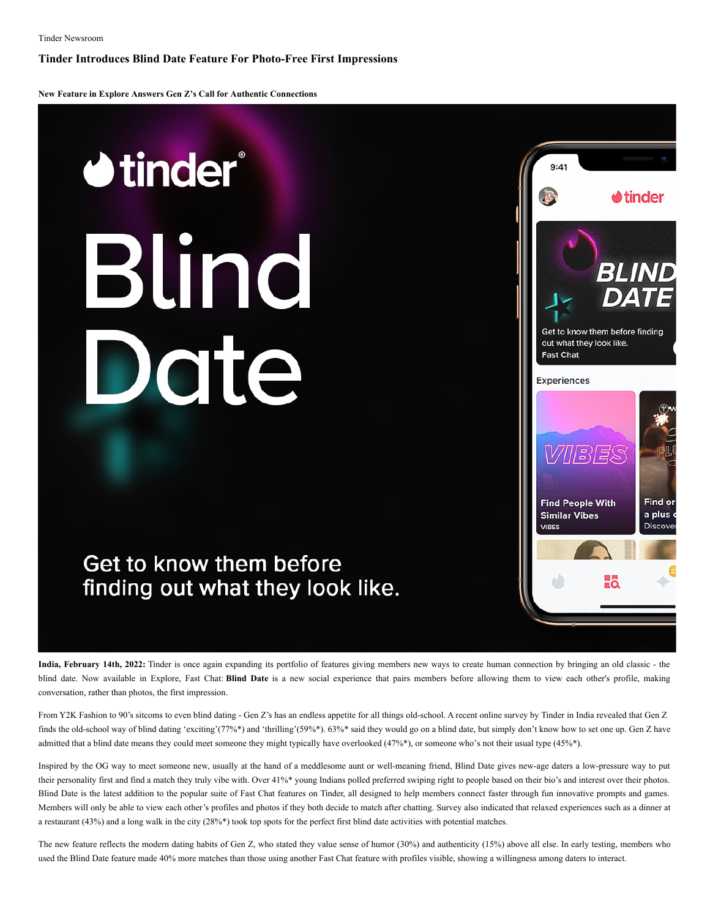**Tinder Introduces Blind Date Feature For Photo-Free First Impressions**

**New Feature in Explore Answers Gen Z's Call for Authentic Connections**

## **U**tinder® Blind Date

## Get to know them before finding out what they look like.



**India, February 14th, 2022:** Tinder is once again expanding its portfolio of features giving members new ways to create human connection by bringing an old classic - the blind date. Now available in Explore, Fast Chat: **Blind Date** is a new social experience that pairs members before allowing them to view each other's profile, making conversation, rather than photos, the first impression.

From Y2K Fashion to 90's sitcoms to even blind dating - Gen Z's has an endless appetite for all things old-school. A recent online survey by Tinder in India revealed that Gen Z finds the old-school way of blind dating 'exciting'(77%\*) and 'thrilling'(59%\*). 63%\* said they would go on a blind date, but simply don't know how to set one up. Gen Z have admitted that a blind date means they could meet someone they might typically have overlooked (47%\*), or someone who's not their usual type (45%\*).

Inspired by the OG way to meet someone new, usually at the hand of a meddlesome aunt or well-meaning friend, Blind Date gives new-age daters a low-pressure way to put their personality first and find a match they truly vibe with. Over 41%\* young Indians polled preferred swiping right to people based on their bio's and interest over their photos. Blind Date is the latest addition to the popular suite of Fast Chat features on Tinder, all designed to help members connect faster through fun innovative prompts and games. Members will only be able to view each other's profiles and photos if they both decide to match after chatting. Survey also indicated that relaxed experiences such as a dinner at a restaurant (43%) and a long walk in the city (28%\*) took top spots for the perfect first blind date activities with potential matches.

The new feature reflects the modern dating habits of Gen Z, who stated they value sense of humor (30%) and authenticity (15%) above all else. In early testing, members who used the Blind Date feature made 40% more matches than those using another Fast Chat feature with profiles visible, showing a willingness among daters to interact.